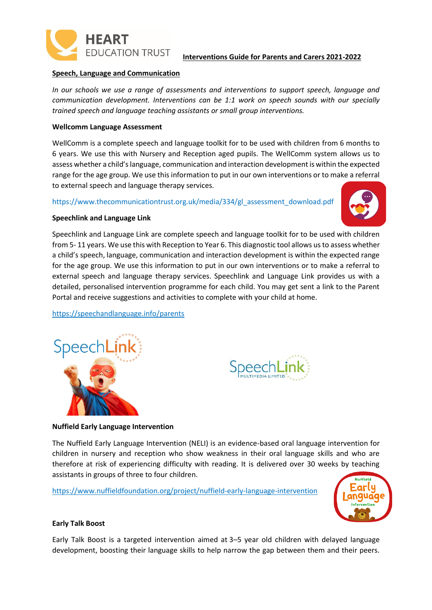

#### **Interventions Guide for Parents and Carers 2021-2022**

#### **Speech, Language and Communication**

*In our schools we use a range of assessments and interventions to support speech, language and communication development. Interventions can be 1:1 work on speech sounds with our specially trained speech and language teaching assistants or small group interventions.*

#### **Wellcomm Language Assessment**

WellComm is a complete speech and language toolkit for to be used with children from 6 months to 6 years. We use this with Nursery and Reception aged pupils. The WellComm system allows us to assess whether a child's language, communication and interaction development is within the expected range for the age group. We use this information to put in our own interventions or to make a referral to external speech and language therapy services.

[https://www.thecommunicationtrust.org.uk/media/334/gl\\_assessment\\_download.pdf](https://www.thecommunicationtrust.org.uk/media/334/gl_assessment_download.pdf)



#### **Speechlink and Language Link**

Speechlink and Language Link are complete speech and language toolkit for to be used with children from 5- 11 years. We use this with Reception to Year 6. This diagnostic tool allows us to assess whether a child's speech, language, communication and interaction development is within the expected range for the age group. We use this information to put in our own interventions or to make a referral to external speech and language therapy services. Speechlink and Language Link provides us with a detailed, personalised intervention programme for each child. You may get sent a link to the Parent Portal and receive suggestions and activities to complete with your child at home.

<https://speechandlanguage.info/parents>





#### **Nuffield Early Language Intervention**

The Nuffield Early Language Intervention (NELI) is an evidence-based oral language intervention for children in nursery and reception who show weakness in their oral language skills and who are therefore at risk of experiencing difficulty with reading. It is delivered over 30 weeks by teaching assistants in groups of three to four children.

<https://www.nuffieldfoundation.org/project/nuffield-early-language-intervention>



#### **Early Talk Boost**

Early Talk Boost is a targeted intervention aimed at 3–5 year old children with delayed language development, boosting their language skills to help narrow the gap between them and their peers.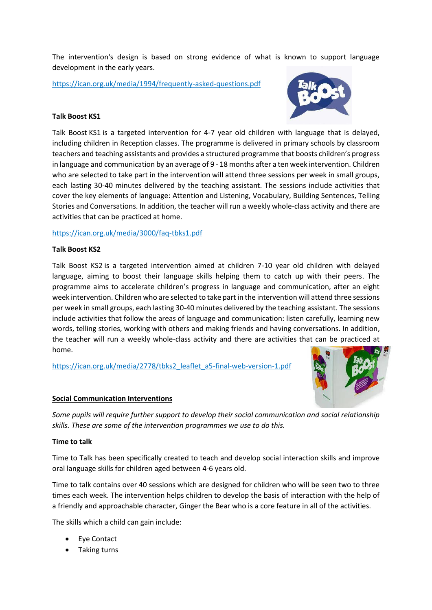The intervention's design is based on strong evidence of what is known to support language development in the early years.

<https://ican.org.uk/media/1994/frequently-asked-questions.pdf>



## **Talk Boost KS1**

Talk Boost KS1 is a targeted intervention for 4-7 year old children with language that is delayed, including children in Reception classes. The programme is delivered in primary schools by classroom teachers and teaching assistants and provides a structured programme that boosts children's progress in language and communication by an average of 9 - 18 months after a ten week intervention. Children who are selected to take part in the intervention will attend three sessions per week in small groups, each lasting 30-40 minutes delivered by the teaching assistant. The sessions include activities that cover the key elements of language: Attention and Listening, Vocabulary, Building Sentences, Telling Stories and Conversations. In addition, the teacher will run a weekly whole-class activity and there are activities that can be practiced at home.

# <https://ican.org.uk/media/3000/faq-tbks1.pdf>

# **Talk Boost KS2**

Talk Boost KS2 is a targeted intervention aimed at children 7-10 year old children with delayed language, aiming to boost their language skills helping them to catch up with their peers. The programme aims to accelerate children's progress in language and communication, after an eight week intervention. Children who are selected to take part in the intervention will attend three sessions per week in small groups, each lasting 30-40 minutes delivered by the teaching assistant. The sessions include activities that follow the areas of language and communication: listen carefully, learning new words, telling stories, working with others and making friends and having conversations. In addition, the teacher will run a weekly whole-class activity and there are activities that can be practiced at home.

[https://ican.org.uk/media/2778/tbks2\\_leaflet\\_a5-final-web-version-1.pdf](https://ican.org.uk/media/2778/tbks2_leaflet_a5-final-web-version-1.pdf)



# **Social Communication Interventions**

*Some pupils will require further support to develop their social communication and social relationship skills. These are some of the intervention programmes we use to do this.*

# **Time to talk**

Time to Talk has been specifically created to teach and develop social interaction skills and improve oral language skills for children aged between 4-6 years old.

Time to talk contains over 40 sessions which are designed for children who will be seen two to three times each week. The intervention helps children to develop the basis of interaction with the help of a friendly and approachable character, Ginger the Bear who is a core feature in all of the activities.

The skills which a child can gain include:

- **Eye Contact**
- Taking turns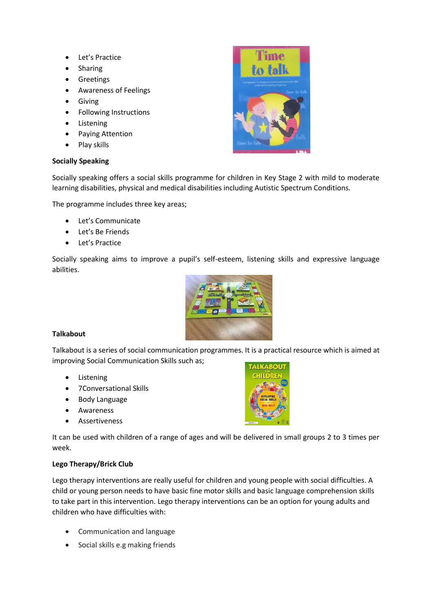- Let's Practice
- Sharing
- Greetings
- Awareness of Feelings
- Giving
- Following Instructions
- Listening
- Paying Attention
- Play skills

# **Socially Speaking**

Socially speaking offers a social skills programme for children in Key Stage 2 with mild to moderate learning disabilities, physical and medical disabilities including Autistic Spectrum Conditions.

The programme includes three key areas;

- Let's Communicate
- Let's Be Friends
- Let's Practice

Socially speaking aims to improve a pupil's self-esteem, listening skills and expressive language abilities.



# **Talkabout**

Talkabout is a series of social communication programmes. It is a practical resource which is aimed at improving Social Communication Skills such as;

- Listening
- 7Conversational Skills
- Body Language
- Awareness
- Assertiveness

It can be used with children of a range of ages and will be delivered in small groups 2 to 3 times per week.

# **Lego Therapy/Brick Club**

Lego therapy interventions are really useful for children and young people with social difficulties. A child or young person needs to have basic fine motor skills and basic language comprehension skills to take part in this intervention. Lego therapy interventions can be an option for young adults and children who have difficulties with:

- Communication and language
- Social skills e.g making friends

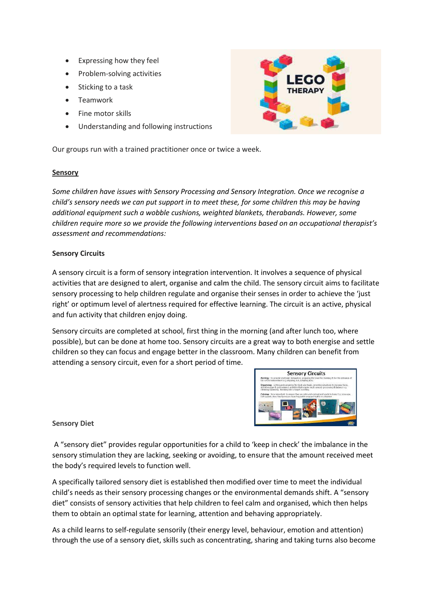- Expressing how they feel
- Problem-solving activities
- Sticking to a task
- Teamwork
- Fine motor skills
- Understanding and following instructions

Our groups run with a trained practitioner once or twice a week.

## **Sensory**

*Some children have issues with Sensory Processing and Sensory Integration. Once we recognise a child's sensory needs we can put support in to meet these, for some children this may be having additional equipment such a wobble cushions, weighted blankets, therabands. However, some children require more so we provide the following interventions based on an occupational therapist's assessment and recommendations:*

## **Sensory Circuits**

A sensory circuit is a form of sensory integration intervention. It involves a sequence of physical activities that are designed to **alert**, **organise** and **calm** the child. The sensory circuit aims to facilitate sensory processing to help children regulate and organise their senses in order to achieve the 'just right' or optimum level of alertness required for effective learning. The circuit is an active, physical and fun activity that children enjoy doing.

Sensory circuits are completed at school, first thing in the morning (and after lunch too, where possible), but can be done at home too. Sensory circuits are a great way to both energise and settle children so they can focus and engage better in the classroom. Many children can benefit from attending a sensory circuit, even for a short period of time.



**Sensory Diet**

A "sensory diet" provides regular opportunities for a child to 'keep in check' the imbalance in the sensory stimulation they are lacking, seeking or avoiding, to ensure that the amount received meet the body's required levels to function well.

A specifically tailored sensory diet is established then modified over time to meet the individual child's needs as their sensory processing changes or the environmental demands shift. A "sensory diet" consists of sensory activities that help children to feel calm and organised, which then helps them to obtain an optimal state for learning, attention and behaving appropriately.

As a child learns to self-regulate sensorily (their energy level, behaviour, emotion and attention) through the use of a sensory diet, skills such as concentrating, sharing and taking turns also become

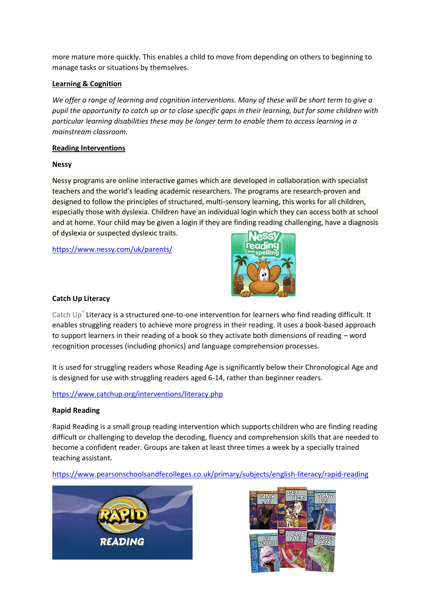more mature more quickly. This enables a child to move from depending on others to beginning to manage tasks or situations by themselves.

## **Learning & Cognition**

*We offer a range of learning and cognition interventions. Many of these will be short term to give a pupil the opportunity to catch up or to close specific gaps in their learning, but for some children with particular learning disabilities these may be longer term to enable them to access learning in a mainstream classroom.*

#### **Reading Interventions**

## **Nessy**

Nessy programs are online interactive games which are developed in collaboration with specialist teachers and the world's leading academic researchers. The programs are research-proven and designed to follow the principles of structured, multi-sensory learning, this works for all children, especially those with dyslexia. Children have an individual login which they can access both at school and at home. Your child may be given a login if they are finding reading challenging, have a diagnosis of dyslexia or suspected dyslexic traits.

<https://www.nessy.com/uk/parents/>



## **Catch Up Literacy**

Catch Up® Literacy is a structured one-to-one intervention for learners who find reading difficult. It enables struggling readers to achieve more progress in their reading. It uses a book-based approach to support learners in their reading of a book so they activate both dimensions of reading – word recognition processes (including phonics) and language comprehension processes.

It is used for struggling readers whose Reading Age is significantly below their Chronological Age and is designed for use with struggling readers aged 6-14, rather than beginner readers.

# <https://www.catchup.org/interventions/literacy.php>

#### **Rapid Reading**

Rapid Reading is a small group reading intervention which supports children who are finding reading difficult or challenging to develop the decoding, fluency and comprehension skills that are needed to become a confident reader. Groups are taken at least three times a week by a specially trained teaching assistant.

# <https://www.pearsonschoolsandfecolleges.co.uk/primary/subjects/english-literacy/rapid-reading>



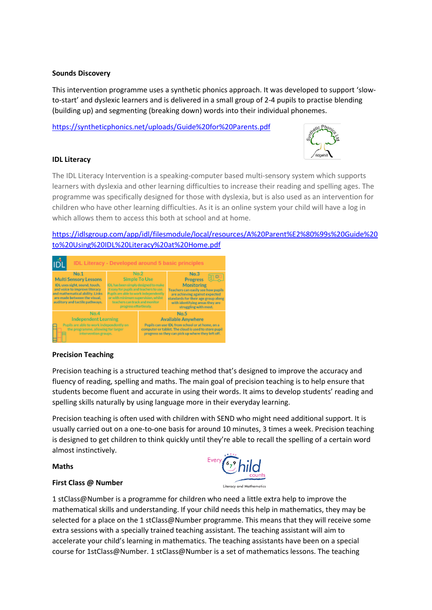#### **Sounds Discovery**

This intervention programme uses a synthetic phonics approach. It was developed to support 'slowto-start' and dyslexic learners and is delivered in a small group of 2-4 pupils to practise blending (building up) and segmenting (breaking down) words into their individual phonemes.

<https://syntheticphonics.net/uploads/Guide%20for%20Parents.pdf>

#### **IDL Literacy**

The IDL Literacy Intervention is a speaking-computer based multi-sensory system which supports learners with dyslexia and other learning difficulties to increase their reading and spelling ages. The programme was specifically designed for those with dyslexia, but is also used as an intervention for children who have other learning difficulties. As it is an online system your child will have a log in which allows them to access this both at school and at home.

[https://idlsgroup.com/app/idl/filesmodule/local/resources/A%20Parent%E2%80%99s%20Guide%20](https://idlsgroup.com/app/idl/filesmodule/local/resources/A%20Parent%E2%80%99s%20Guide%20to%20Using%20IDL%20Literacy%20at%20Home.pdf) [to%20Using%20IDL%20Literacy%20at%20Home.pdf](https://idlsgroup.com/app/idl/filesmodule/local/resources/A%20Parent%E2%80%99s%20Guide%20to%20Using%20IDL%20Literacy%20at%20Home.pdf)



#### **Precision Teaching**

Precision teaching is a structured teaching method that's designed to improve the accuracy and fluency of reading, spelling and maths. The main goal of precision teaching is to help ensure that students become fluent and accurate in using their words. It aims to develop students' reading and spelling skills naturally by using language more in their everyday learning.

Precision teaching is often used with children with SEND who might need additional support. It is usually carried out on a one-to-one basis for around 10 minutes, 3 times a week. Precision teaching is designed to get children to think quickly until they're able to recall the spelling of a certain word almost instinctively.

#### **Maths**

Every 6,9 hild

#### **First Class @ Number**

1 stClass@Number is a programme for children who need a little extra help to improve the mathematical skills and understanding. If your child needs this help in mathematics, they may be selected for a place on the 1 stClass@Number programme. This means that they will receive some extra sessions with a specially trained teaching assistant. The teaching assistant will aim to accelerate your child's learning in mathematics. The teaching assistants have been on a special course for 1stClass@Number. 1 stClass@Number is a set of mathematics lessons. The teaching